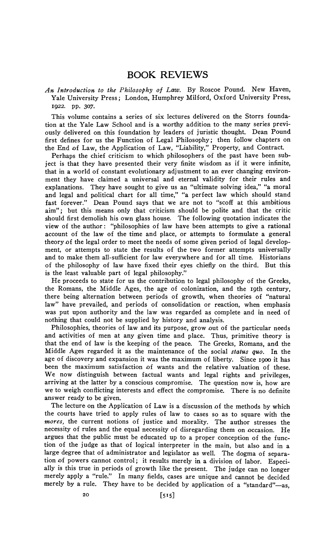## BOOK REVIEWS

*An Introduction to the Philosophy of Law.* By Roscoe Pound. New H.aven, Yale University Press; London, Humphrey Milford, Oxford University Press, 1922. pp. 307·

This volume contains a series of six lectures delivered on the Storrs foundation at the Yale Law School and is a worthy addition to the many series previously delivered on this foundation by leaders of juristic thought. Dean Pound first defines for us the Function of Legal Philosophy; then follow chapters on the End of Law, the Application of Law, "Liability," Property, and Contract.

Perhaps the chief criticism to which philosophers of the past have been subject is that they have presented their very finite wisdom as if it were infinite, that in a world of constant evolutionary adjustment to an ever changing environment they have claimed a universal and eternal validity for their rules and explanations. They have sought to give us an "ultimate solving idea," "a moral and legal and political chart for all time," "a perfect law which should stand fast forever." Dean Pound says that we are not to "scoff at this ambitious aim"; but this means only that criticism should be polite and that the critic should first demolish his own glass house. The following quotation indicates the view of the author: "philosophies of law have been attempts to give a rational account of the law of the time and place, or attempts to formulate a general theory.of the legal order to meet the needs of some given period of legal development, or attempts to state the results of the two former attempts universally and to make them all-sufficient for law everywhere and for all time. Historians of the philosophy of law have fixed their eyes chiefly on the third. But this is the least valuable part of legal philosophy."

He proceeds to state for us the contribution to legal philosophy of the Greeks, the Romans, the Middle Ages, the age of colonization, and the 19th century, there being alternation between periods of growth, when theories of "natural law" have prevailed, and periods of consolidation or reaction, when emphasis was put upon authority and the law was regarded as complete and in need of nothing that could not be supplied by history and analysis.

Philosophies, theories of law and its purpose, grow out of the particular needs and activities of men at any given time and place. Thus, primitive theory is that the end of law is the keeping of the peace. The Greeks, Romans, and the Middle Ages regarded it as the maintenance of the social *status quo.* In the age of discovery and expansion it was the maximum of liberty. Since 1900 it has been the maximum satisfaction of wants and the relative valuation of these. We now distinguish between factual wants and legal rights and privileges, arriving at the latter by a conscious compromise. The question now is, how are we to weigh conflicting interests and effect the compromise. There is no definite answer ready to be given.

The lecture on the Application of Law is a discussion of the methods by which the courts have tried to apply rules of law to cases so as to square with the *mores,* the current notions of justice and morality. The author stresses the necessity of rules and the equal necessity of disregarding them on occasion. He argues that the public must be educated up to a proper conception of the function of the judge as that of logical interpreter in the main, but also and in a large degree that of administrator and legislator as well. The dogma of separation of powers cannot control; it results merely in a division of labor. Especially is this true in periods of growth like the present. The judge can no longer merely apply a "rule." In many fields, cases are unique and cannot be decided merely by a rule. They have to be decided by application of a "standard"-as,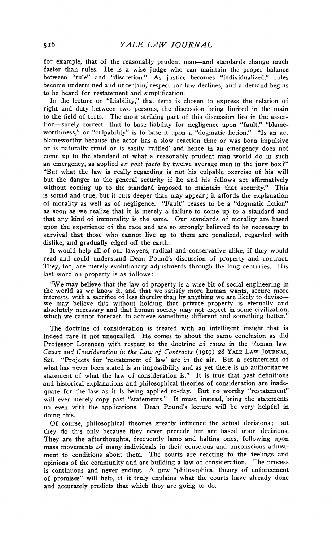for example, that of the reasonably prudent man—and standards change much faster than rules. He is a wise judge who can maintain the proper balance between "rule" and "discretion." As justice becomes "individualized," rules become undermined and uncertain, respect for law declines, and a demand begins to be heard for restatement and simplification.

In the lecture on "Liability," that term is chosen to express the relation of right and duty between two persons, the discussion being limited in the main to the field of torts. The most striking part of this discussion lies in the assertion-surely correct-that to base liability for negligence upon "fault," "blameworthiness," or "culpability" is to base it upon a "dogmatic fiction." "Is an act blameworthy because the actor has a slow reaction time or was born impulsive or is naturally timid or is easily 'rattled' and hence in an emergency does not come up to the standard of what a reasonably prudent man would do in such an emergency, as applied *ex post facto* by twelve average men in the jury box?" "But what the law is really regarding is not his culpable exercise of his will but the danger to the general security if he and his fellows act affirmatively without coming up to the standard imposed to maintain that security." This is sound and true, but it cuts deeper than may appear; it affords the explanation of morality as well as of negligence. "Fault" ceases to be a "dogmatic fiction" as soon as we realize that it is merely a failure to come up to a standard and that any kind of immorality is the same. Our standards of morality are based upon the experience of the race and are so strongly believed to be necessary to survival that those who cannot live up to them are penalized, regarded with dislike, and gradually edged off the earth.

It would help all of our lawyers, radical and conservative alike, if they would read and could understand Dean Pound's discussion of property and contract. They, too, are merely evolutionary adjustments through the long centuries. His last word on property is as follows:

"We may believe that the law of property is a wise bit of social engineering in the world as we know it, and that we satisfy more human wants, secure more the world as we know it, and that we satisfy more human wants, secure more<br>interests, with a sacrifice of less thereby than by anything we are likely to devise—<br>we may believe this without holding that private property is absolutely necessary and that human society may not expect in some civilization, which we cannot forecast, to achieve something different and something better.

The doctrine of consideration is treated with an intelligent insight that is indeed rare if not unequalled. He comes to about the same conclusion as did Professor Lorenzen with respect to the doctrine of *causa* in the Roman law. *Causa and Consideration in the'Law of Contracts* (1919) 28 YALE LAW JOURNAL, 621. "Projects for 'restatement of law' are in the air. But a restatement of what has never been stated is an impossibility and as yet there is no authoritative statement of what the law of consideration is." It is true that past definitions and historical explanations and philosophical theories of consideration are inadequate for the law as it is being applied to-day. But no worthy "restatement" will ever merely copy past "statements." It must, instead, bring the statements up even with the applications. Dean Pound's lecture will be very helpful in doing this.

Of course, philosophical theories greatly influence the actual decisions; but they do this only because they never precede but are based upon decisions. They are the afterthoughts, frequently lame and halting ones, following upon mass movements of many individuals in their conscious and unconscious adjustment to conditions about them. The courts are reacting to the feelings and opinions of the community and are building a law of consideration. The process is continuous and never ending. A new "philosophical theory of enforcement of promises" will help, if it truly explains what the courts have already done and accurately predicts that which they are going to do.